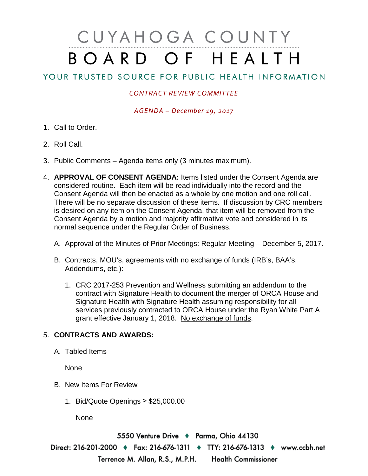## CUYAHOGA COUNTY BOARD OF HEALTH

## YOUR TRUSTED SOURCE FOR PUBLIC HEALTH INFORMATION

## *CONTRACT REVIEW COMMITTEE*

*AGENDA – December 19, 2017*

- 1. Call to Order.
- 2. Roll Call.
- 3. Public Comments Agenda items only (3 minutes maximum).
- 4. **APPROVAL OF CONSENT AGENDA:** Items listed under the Consent Agenda are considered routine. Each item will be read individually into the record and the Consent Agenda will then be enacted as a whole by one motion and one roll call. There will be no separate discussion of these items. If discussion by CRC members is desired on any item on the Consent Agenda, that item will be removed from the Consent Agenda by a motion and majority affirmative vote and considered in its normal sequence under the Regular Order of Business.
	- A. Approval of the Minutes of Prior Meetings: Regular Meeting December 5, 2017.
	- B. Contracts, MOU's, agreements with no exchange of funds (IRB's, BAA's, Addendums, etc.):
		- 1. CRC 2017-253 Prevention and Wellness submitting an addendum to the contract with Signature Health to document the merger of ORCA House and Signature Health with Signature Health assuming responsibility for all services previously contracted to ORCA House under the Ryan White Part A grant effective January 1, 2018. No exchange of funds.

## 5. **CONTRACTS AND AWARDS:**

A. Tabled Items

None

- B. New Items For Review
	- 1. Bid/Quote Openings ≥ \$25,000.00

None

5550 Venture Drive + Parma, Ohio 44130 Direct: 216-201-2000 • Fax: 216-676-1311 • TTY: 216-676-1313 • www.ccbh.net Terrence M. Allan, R.S., M.P.H. Health Commissioner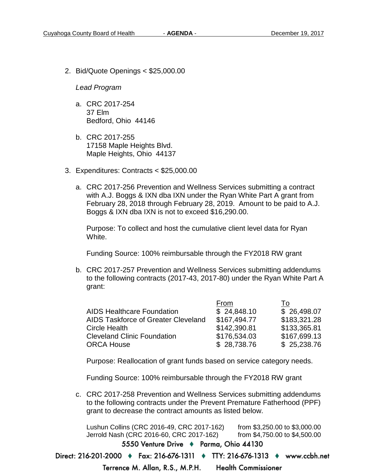2. Bid/Quote Openings < \$25,000.00

*Lead Program* 

- a. CRC 2017-254 37 Elm Bedford, Ohio 44146
- b. CRC 2017-255 17158 Maple Heights Blvd. Maple Heights, Ohio 44137
- 3. Expenditures: Contracts < \$25,000.00
	- a. CRC 2017-256 Prevention and Wellness Services submitting a contract with A.J. Boggs & IXN dba IXN under the Ryan White Part A grant from February 28, 2018 through February 28, 2019. Amount to be paid to A.J. Boggs & IXN dba IXN is not to exceed \$16,290.00.

Purpose: To collect and host the cumulative client level data for Ryan White.

Funding Source: 100% reimbursable through the FY2018 RW grant

b. CRC 2017-257 Prevention and Wellness Services submitting addendums to the following contracts (2017-43, 2017-80) under the Ryan White Part A grant:

| From         | To           |
|--------------|--------------|
| \$24,848.10  | \$26,498.07  |
| \$167,494.77 | \$183,321.28 |
| \$142,390.81 | \$133,365.81 |
| \$176,534.03 | \$167,699.13 |
| \$28,738.76  | \$25,238.76  |
|              |              |

Purpose: Reallocation of grant funds based on service category needs.

Funding Source: 100% reimbursable through the FY2018 RW grant

c. CRC 2017-258 Prevention and Wellness Services submitting addendums to the following contracts under the Prevent Premature Fatherhood (PPF) grant to decrease the contract amounts as listed below.

Lushun Collins (CRC 2016-49, CRC 2017-162) from \$3,250.00 to \$3,000.00 Jerrold Nash (CRC 2016-60, CRC 2017-162) from \$4,750.00 to \$4,500.005550 Venture Drive + Parma, Ohio 44130 Direct: 216-201-2000 • Fax: 216-676-1311 • TTY: 216-676-1313 • www.ccbh.net

> Terrence M. Allan, R.S., M.P.H. **Health Commissioner**